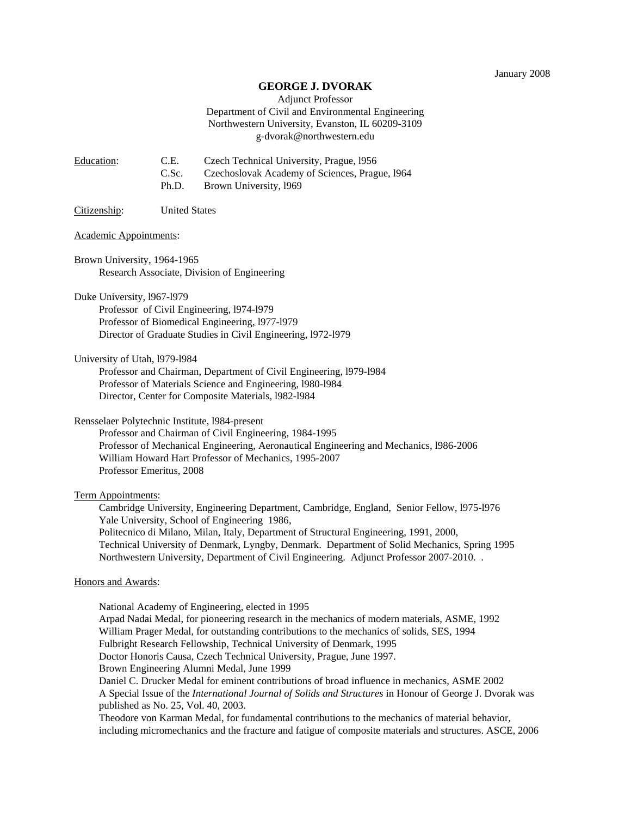### **GEORGE J. DVORAK**

# Adjunct Professor Department of Civil and Environmental Engineering Northwestern University, Evanston, IL 60209-3109 g-dvorak@northwestern.edu

| Education: | C.E.  | Czech Technical University, Prague, 1956       |
|------------|-------|------------------------------------------------|
|            | C.Sc. | Czechoslovak Academy of Sciences, Prague, 1964 |
|            | Ph.D. | Brown University, 1969                         |

Citizenship: United States

#### Academic Appointments:

Brown University, 1964-1965 Research Associate, Division of Engineering

Duke University, l967-l979

Professor of Civil Engineering, l974-l979 Professor of Biomedical Engineering, l977-l979 Director of Graduate Studies in Civil Engineering, l972-l979

University of Utah, l979-l984

Professor and Chairman, Department of Civil Engineering, l979-l984 Professor of Materials Science and Engineering, l980-l984 Director, Center for Composite Materials, l982-l984

Rensselaer Polytechnic Institute, l984-present

Professor and Chairman of Civil Engineering, 1984-1995 Professor of Mechanical Engineering, Aeronautical Engineering and Mechanics, l986-2006 William Howard Hart Professor of Mechanics, 1995-2007 Professor Emeritus, 2008

### Term Appointments:

 Cambridge University, Engineering Department, Cambridge, England, Senior Fellow, l975-l976 Yale University, School of Engineering 1986, Politecnico di Milano, Milan, Italy, Department of Structural Engineering, 1991, 2000, Technical University of Denmark, Lyngby, Denmark. Department of Solid Mechanics, Spring 1995 Northwestern University, Department of Civil Engineering. Adjunct Professor 2007-2010. .

#### Honors and Awards:

National Academy of Engineering, elected in 1995 Arpad Nadai Medal, for pioneering research in the mechanics of modern materials, ASME, 1992 William Prager Medal, for outstanding contributions to the mechanics of solids, SES, 1994 Fulbright Research Fellowship, Technical University of Denmark, 1995 Doctor Honoris Causa, Czech Technical University, Prague, June 1997. Brown Engineering Alumni Medal, June 1999 Daniel C. Drucker Medal for eminent contributions of broad influence in mechanics, ASME 2002 A Special Issue of the *International Journal of Solids and Structures* in Honour of George J. Dvorak was published as No. 25, Vol. 40, 2003. Theodore von Karman Medal, for fundamental contributions to the mechanics of material behavior,

including micromechanics and the fracture and fatigue of composite materials and structures. ASCE, 2006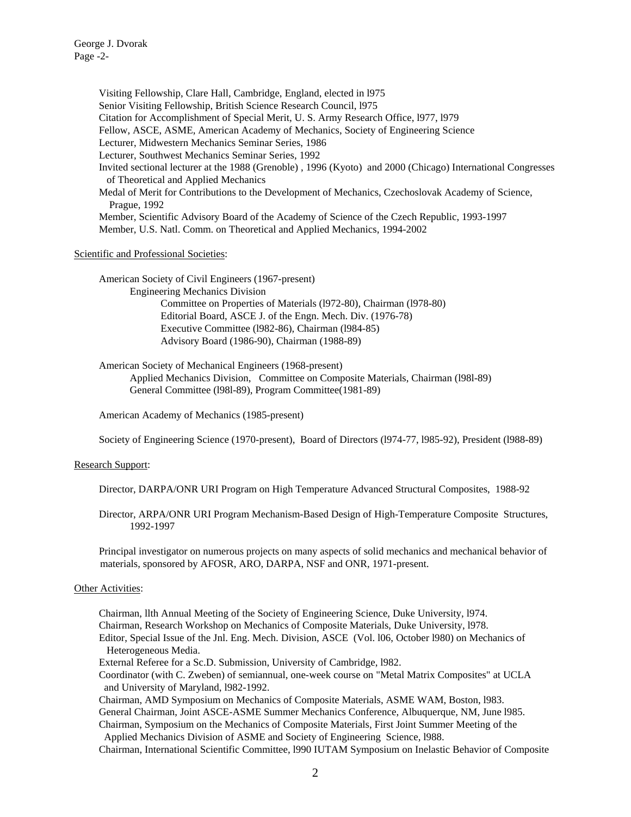George J. Dvorak Page -2-

> Visiting Fellowship, Clare Hall, Cambridge, England, elected in l975 Senior Visiting Fellowship, British Science Research Council, l975 Citation for Accomplishment of Special Merit, U. S. Army Research Office, l977, l979 Fellow, ASCE, ASME, American Academy of Mechanics, Society of Engineering Science Lecturer, Midwestern Mechanics Seminar Series, 1986 Lecturer, Southwest Mechanics Seminar Series, 1992 Invited sectional lecturer at the 1988 (Grenoble) , 1996 (Kyoto) and 2000 (Chicago) International Congresses of Theoretical and Applied Mechanics Medal of Merit for Contributions to the Development of Mechanics, Czechoslovak Academy of Science, Prague, 1992 Member, Scientific Advisory Board of the Academy of Science of the Czech Republic, 1993-1997 Member, U.S. Natl. Comm. on Theoretical and Applied Mechanics, 1994-2002

## Scientific and Professional Societies:

American Society of Civil Engineers (1967-present) Engineering Mechanics Division Committee on Properties of Materials (l972-80), Chairman (l978-80) Editorial Board, ASCE J. of the Engn. Mech. Div. (1976-78) Executive Committee (l982-86), Chairman (l984-85) Advisory Board (1986-90), Chairman (1988-89)

American Society of Mechanical Engineers (1968-present) Applied Mechanics Division, Committee on Composite Materials, Chairman (l98l-89) General Committee (l98l-89), Program Committee(1981-89)

American Academy of Mechanics (1985-present)

Society of Engineering Science (1970-present), Board of Directors (l974-77, l985-92), President (l988-89)

### Research Support:

Director, DARPA/ONR URI Program on High Temperature Advanced Structural Composites, 1988-92

Director, ARPA/ONR URI Program Mechanism-Based Design of High-Temperature Composite Structures, 1992-1997

 Principal investigator on numerous projects on many aspects of solid mechanics and mechanical behavior of materials, sponsored by AFOSR, ARO, DARPA, NSF and ONR, 1971-present.

### Other Activities:

 Chairman, llth Annual Meeting of the Society of Engineering Science, Duke University, l974. Chairman, Research Workshop on Mechanics of Composite Materials, Duke University, l978. Editor, Special Issue of the Jnl. Eng. Mech. Division, ASCE (Vol. l06, October l980) on Mechanics of Heterogeneous Media.

External Referee for a Sc.D. Submission, University of Cambridge, l982.

 Coordinator (with C. Zweben) of semiannual, one-week course on "Metal Matrix Composites" at UCLA and University of Maryland, l982-1992.

 Chairman, AMD Symposium on Mechanics of Composite Materials, ASME WAM, Boston, l983. General Chairman, Joint ASCE-ASME Summer Mechanics Conference, Albuquerque, NM, June l985. Chairman, Symposium on the Mechanics of Composite Materials, First Joint Summer Meeting of the

 Applied Mechanics Division of ASME and Society of Engineering Science, l988. Chairman, International Scientific Committee, l990 IUTAM Symposium on Inelastic Behavior of Composite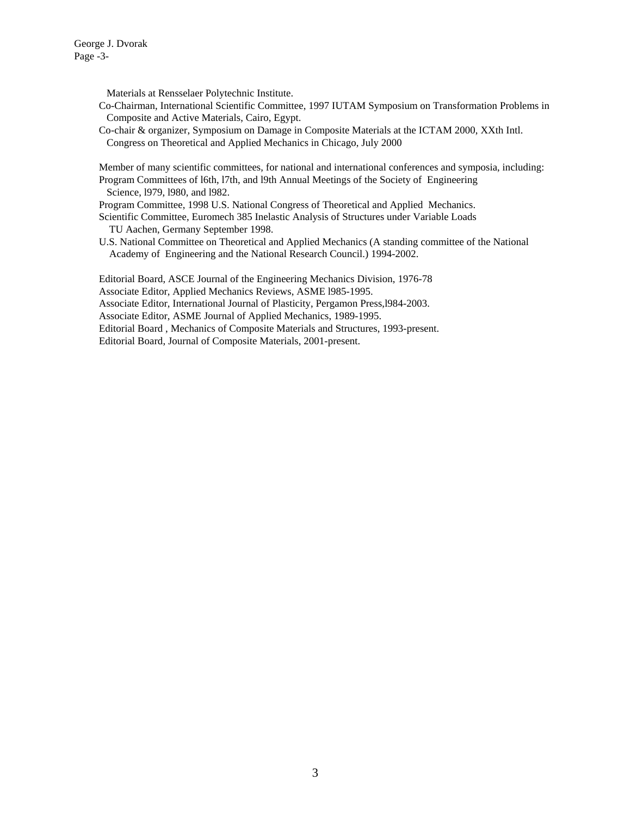George J. Dvorak Page -3-

Materials at Rensselaer Polytechnic Institute.

- Co-Chairman, International Scientific Committee, 1997 IUTAM Symposium on Transformation Problems in Composite and Active Materials, Cairo, Egypt.
- Co-chair & organizer, Symposium on Damage in Composite Materials at the ICTAM 2000, XXth Intl. Congress on Theoretical and Applied Mechanics in Chicago, July 2000

 Member of many scientific committees, for national and international conferences and symposia, including: Program Committees of l6th, l7th, and l9th Annual Meetings of the Society of Engineering Science, l979, l980, and l982.

Program Committee, 1998 U.S. National Congress of Theoretical and Applied Mechanics.

 Scientific Committee, Euromech 385 Inelastic Analysis of Structures under Variable Loads TU Aachen, Germany September 1998.

 U.S. National Committee on Theoretical and Applied Mechanics (A standing committee of the National Academy of Engineering and the National Research Council.) 1994-2002.

 Editorial Board, ASCE Journal of the Engineering Mechanics Division, 1976-78 Associate Editor, Applied Mechanics Reviews, ASME l985-1995. Associate Editor, International Journal of Plasticity, Pergamon Press,l984-2003. Associate Editor, ASME Journal of Applied Mechanics, 1989-1995. Editorial Board , Mechanics of Composite Materials and Structures, 1993-present. Editorial Board, Journal of Composite Materials, 2001-present.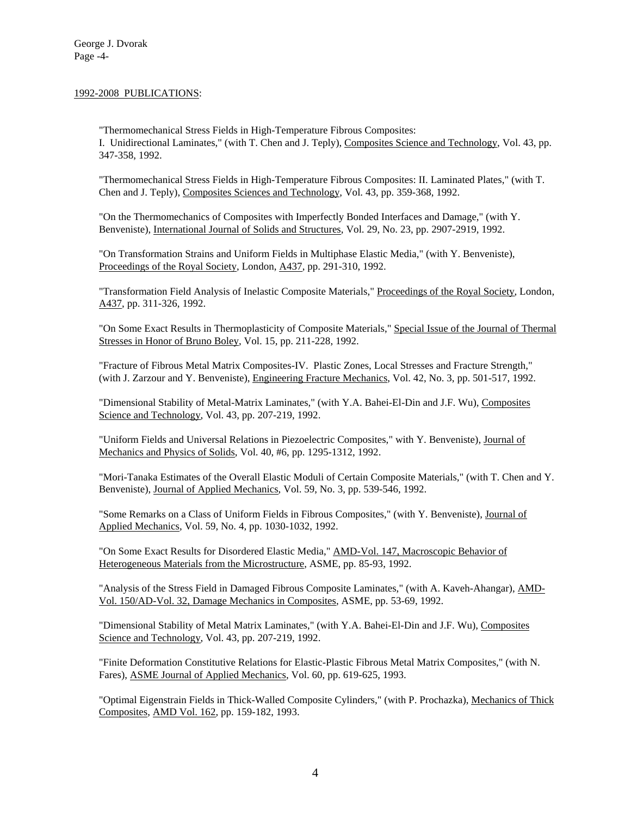# 1992-2008 PUBLICATIONS:

"Thermomechanical Stress Fields in High-Temperature Fibrous Composites: I. Unidirectional Laminates," (with T. Chen and J. Teply), Composites Science and Technology, Vol. 43, pp. 347-358, 1992.

"Thermomechanical Stress Fields in High-Temperature Fibrous Composites: II. Laminated Plates," (with T. Chen and J. Teply), Composites Sciences and Technology, Vol. 43, pp. 359-368, 1992.

"On the Thermomechanics of Composites with Imperfectly Bonded Interfaces and Damage," (with Y. Benveniste), International Journal of Solids and Structures, Vol. 29, No. 23, pp. 2907-2919, 1992.

"On Transformation Strains and Uniform Fields in Multiphase Elastic Media," (with Y. Benveniste), Proceedings of the Royal Society, London, A437, pp. 291-310, 1992.

"Transformation Field Analysis of Inelastic Composite Materials," Proceedings of the Royal Society, London, A437, pp. 311-326, 1992.

"On Some Exact Results in Thermoplasticity of Composite Materials," Special Issue of the Journal of Thermal Stresses in Honor of Bruno Boley, Vol. 15, pp. 211-228, 1992.

"Fracture of Fibrous Metal Matrix Composites-IV. Plastic Zones, Local Stresses and Fracture Strength," (with J. Zarzour and Y. Benveniste), Engineering Fracture Mechanics, Vol. 42, No. 3, pp. 501-517, 1992.

"Dimensional Stability of Metal-Matrix Laminates," (with Y.A. Bahei-El-Din and J.F. Wu), Composites Science and Technology, Vol. 43, pp. 207-219, 1992.

"Uniform Fields and Universal Relations in Piezoelectric Composites," with Y. Benveniste), Journal of Mechanics and Physics of Solids, Vol. 40, #6, pp. 1295-1312, 1992.

"Mori-Tanaka Estimates of the Overall Elastic Moduli of Certain Composite Materials," (with T. Chen and Y. Benveniste), Journal of Applied Mechanics, Vol. 59, No. 3, pp. 539-546, 1992.

"Some Remarks on a Class of Uniform Fields in Fibrous Composites," (with Y. Benveniste), Journal of Applied Mechanics, Vol. 59, No. 4, pp. 1030-1032, 1992.

"On Some Exact Results for Disordered Elastic Media," AMD-Vol. 147, Macroscopic Behavior of Heterogeneous Materials from the Microstructure, ASME, pp. 85-93, 1992.

"Analysis of the Stress Field in Damaged Fibrous Composite Laminates," (with A. Kaveh-Ahangar), AMD-Vol. 150/AD-Vol. 32, Damage Mechanics in Composites, ASME, pp. 53-69, 1992.

"Dimensional Stability of Metal Matrix Laminates," (with Y.A. Bahei-El-Din and J.F. Wu), Composites Science and Technology, Vol. 43, pp. 207-219, 1992.

"Finite Deformation Constitutive Relations for Elastic-Plastic Fibrous Metal Matrix Composites," (with N. Fares), ASME Journal of Applied Mechanics, Vol. 60, pp. 619-625, 1993.

"Optimal Eigenstrain Fields in Thick-Walled Composite Cylinders," (with P. Prochazka), Mechanics of Thick Composites, AMD Vol. 162, pp. 159-182, 1993.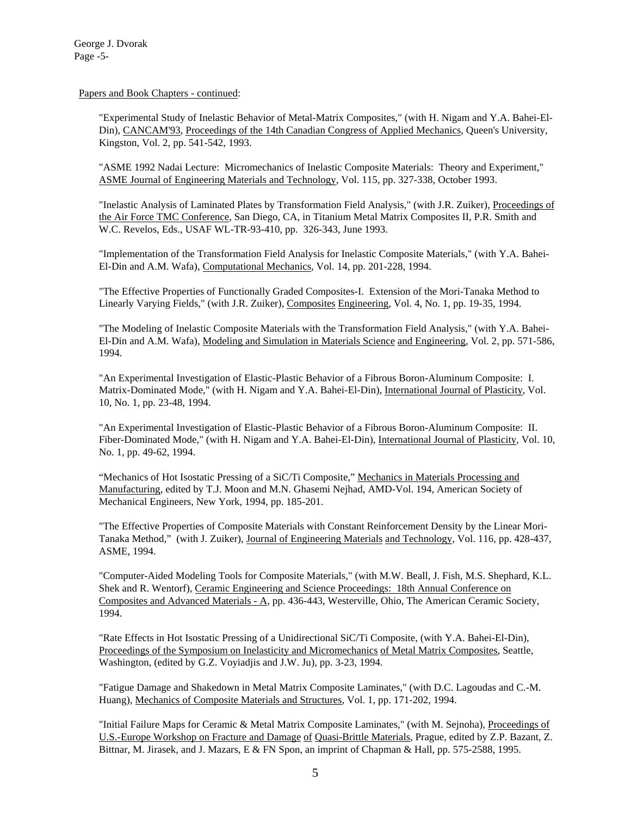Papers and Book Chapters - continued:

"Experimental Study of Inelastic Behavior of Metal-Matrix Composites," (with H. Nigam and Y.A. Bahei-El-Din), CANCAM'93, Proceedings of the 14th Canadian Congress of Applied Mechanics, Queen's University, Kingston, Vol. 2, pp. 541-542, 1993.

"ASME 1992 Nadai Lecture: Micromechanics of Inelastic Composite Materials: Theory and Experiment," ASME Journal of Engineering Materials and Technology, Vol. 115, pp. 327-338, October 1993.

"Inelastic Analysis of Laminated Plates by Transformation Field Analysis," (with J.R. Zuiker), Proceedings of the Air Force TMC Conference, San Diego, CA, in Titanium Metal Matrix Composites II, P.R. Smith and W.C. Revelos, Eds., USAF WL-TR-93-410, pp. 326-343, June 1993.

"Implementation of the Transformation Field Analysis for Inelastic Composite Materials," (with Y.A. Bahei-El-Din and A.M. Wafa), Computational Mechanics, Vol. 14, pp. 201-228, 1994.

"The Effective Properties of Functionally Graded Composites-I. Extension of the Mori-Tanaka Method to Linearly Varying Fields," (with J.R. Zuiker), Composites Engineering, Vol. 4, No. 1, pp. 19-35, 1994.

"The Modeling of Inelastic Composite Materials with the Transformation Field Analysis," (with Y.A. Bahei-El-Din and A.M. Wafa), Modeling and Simulation in Materials Science and Engineering, Vol. 2, pp. 571-586, 1994.

"An Experimental Investigation of Elastic-Plastic Behavior of a Fibrous Boron-Aluminum Composite: I. Matrix-Dominated Mode," (with H. Nigam and Y.A. Bahei-El-Din), International Journal of Plasticity, Vol. 10, No. 1, pp. 23-48, 1994.

"An Experimental Investigation of Elastic-Plastic Behavior of a Fibrous Boron-Aluminum Composite: II. Fiber-Dominated Mode," (with H. Nigam and Y.A. Bahei-El-Din), International Journal of Plasticity, Vol. 10, No. 1, pp. 49-62, 1994.

"Mechanics of Hot Isostatic Pressing of a SiC/Ti Composite," Mechanics in Materials Processing and Manufacturing, edited by T.J. Moon and M.N. Ghasemi Nejhad, AMD-Vol. 194, American Society of Mechanical Engineers, New York, 1994, pp. 185-201.

"The Effective Properties of Composite Materials with Constant Reinforcement Density by the Linear Mori-Tanaka Method," (with J. Zuiker), Journal of Engineering Materials and Technology, Vol. 116, pp. 428-437, ASME, 1994.

"Computer-Aided Modeling Tools for Composite Materials," (with M.W. Beall, J. Fish, M.S. Shephard, K.L. Shek and R. Wentorf), Ceramic Engineering and Science Proceedings: 18th Annual Conference on Composites and Advanced Materials - A, pp. 436-443, Westerville, Ohio, The American Ceramic Society, 1994.

"Rate Effects in Hot Isostatic Pressing of a Unidirectional SiC/Ti Composite, (with Y.A. Bahei-El-Din), Proceedings of the Symposium on Inelasticity and Micromechanics of Metal Matrix Composites, Seattle, Washington, (edited by G.Z. Voyiadjis and J.W. Ju), pp. 3-23, 1994.

"Fatigue Damage and Shakedown in Metal Matrix Composite Laminates," (with D.C. Lagoudas and C.-M. Huang), Mechanics of Composite Materials and Structures, Vol. 1, pp. 171-202, 1994.

"Initial Failure Maps for Ceramic & Metal Matrix Composite Laminates," (with M. Sejnoha), Proceedings of U.S.-Europe Workshop on Fracture and Damage of Quasi-Brittle Materials, Prague, edited by Z.P. Bazant, Z. Bittnar, M. Jirasek, and J. Mazars, E & FN Spon, an imprint of Chapman & Hall, pp. 575-2588, 1995.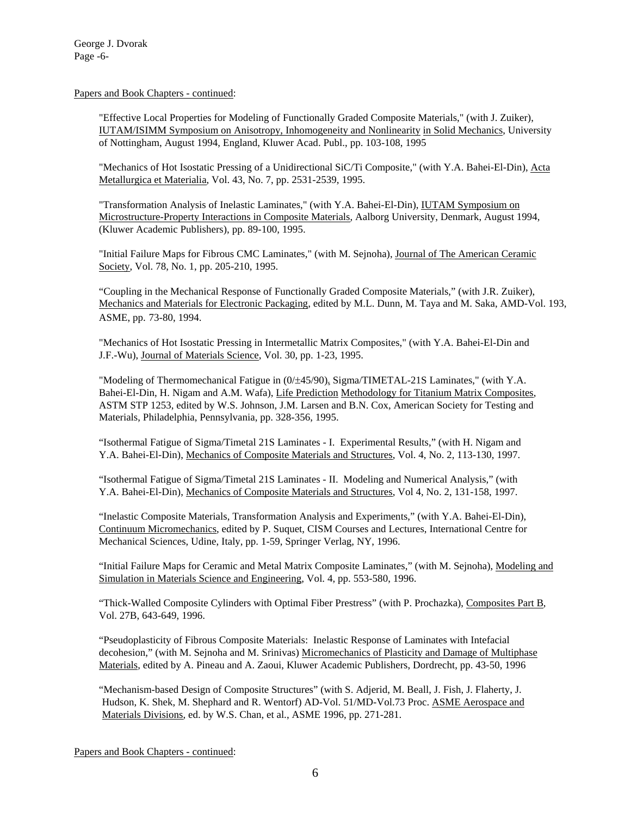Papers and Book Chapters - continued:

 "Effective Local Properties for Modeling of Functionally Graded Composite Materials," (with J. Zuiker), IUTAM/ISIMM Symposium on Anisotropy, Inhomogeneity and Nonlinearity in Solid Mechanics, University of Nottingham, August 1994, England, Kluwer Acad. Publ., pp. 103-108, 1995

"Mechanics of Hot Isostatic Pressing of a Unidirectional SiC/Ti Composite," (with Y.A. Bahei-El-Din), Acta Metallurgica et Materialia, Vol. 43, No. 7, pp. 2531-2539, 1995.

"Transformation Analysis of Inelastic Laminates," (with Y.A. Bahei-El-Din), IUTAM Symposium on Microstructure-Property Interactions in Composite Materials, Aalborg University, Denmark, August 1994, (Kluwer Academic Publishers), pp. 89-100, 1995.

"Initial Failure Maps for Fibrous CMC Laminates," (with M. Sejnoha), Journal of The American Ceramic Society, Vol. 78, No. 1, pp. 205-210, 1995.

"Coupling in the Mechanical Response of Functionally Graded Composite Materials," (with J.R. Zuiker), Mechanics and Materials for Electronic Packaging, edited by M.L. Dunn, M. Taya and M. Saka, AMD-Vol. 193, ASME, pp. 73-80, 1994.

"Mechanics of Hot Isostatic Pressing in Intermetallic Matrix Composites," (with Y.A. Bahei-El-Din and J.F.-Wu), Journal of Materials Science, Vol. 30, pp. 1-23, 1995.

"Modeling of Thermomechanical Fatigue in  $(0/±45/90)$ <sub>s</sub> Sigma/TIMETAL-21S Laminates," (with Y.A. Bahei-El-Din, H. Nigam and A.M. Wafa), Life Prediction Methodology for Titanium Matrix Composites, ASTM STP 1253, edited by W.S. Johnson, J.M. Larsen and B.N. Cox, American Society for Testing and Materials, Philadelphia, Pennsylvania, pp. 328-356, 1995.

 "Isothermal Fatigue of Sigma/Timetal 21S Laminates - I. Experimental Results," (with H. Nigam and Y.A. Bahei-El-Din), Mechanics of Composite Materials and Structures, Vol. 4, No. 2, 113-130, 1997.

 "Isothermal Fatigue of Sigma/Timetal 21S Laminates - II. Modeling and Numerical Analysis," (with Y.A. Bahei-El-Din), Mechanics of Composite Materials and Structures, Vol 4, No. 2, 131-158, 1997.

 "Inelastic Composite Materials, Transformation Analysis and Experiments," (with Y.A. Bahei-El-Din), Continuum Micromechanics, edited by P. Suquet, CISM Courses and Lectures, International Centre for Mechanical Sciences, Udine, Italy, pp. 1-59, Springer Verlag, NY, 1996.

"Initial Failure Maps for Ceramic and Metal Matrix Composite Laminates," (with M. Sejnoha), Modeling and Simulation in Materials Science and Engineering, Vol. 4, pp. 553-580, 1996.

"Thick-Walled Composite Cylinders with Optimal Fiber Prestress" (with P. Prochazka), Composites Part B, Vol. 27B, 643-649, 1996.

"Pseudoplasticity of Fibrous Composite Materials: Inelastic Response of Laminates with Intefacial decohesion," (with M. Sejnoha and M. Srinivas) Micromechanics of Plasticity and Damage of Multiphase Materials, edited by A. Pineau and A. Zaoui, Kluwer Academic Publishers, Dordrecht, pp. 43-50, 1996

"Mechanism-based Design of Composite Structures" (with S. Adjerid, M. Beall, J. Fish, J. Flaherty, J. Hudson, K. Shek, M. Shephard and R. Wentorf) AD-Vol. 51/MD-Vol.73 Proc. ASME Aerospace and Materials Divisions, ed. by W.S. Chan, et al., ASME 1996, pp. 271-281.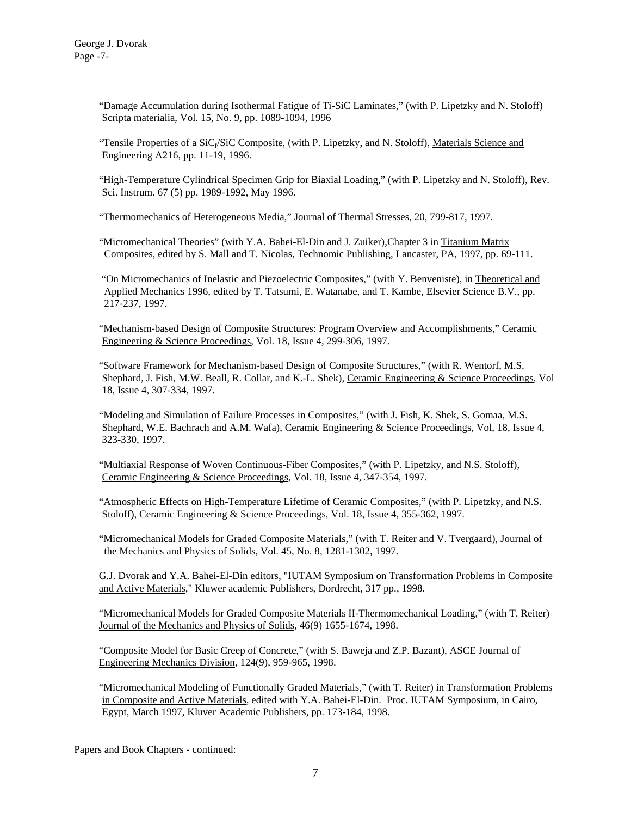"Damage Accumulation during Isothermal Fatigue of Ti-SiC Laminates," (with P. Lipetzky and N. Stoloff) Scripta materialia, Vol. 15, No. 9, pp. 1089-1094, 1996

"Tensile Properties of a  $SiC_f/SiC$  Composite, (with P. Lipetzky, and N. Stoloff), Materials Science and Engineering A216, pp. 11-19, 1996.

"High-Temperature Cylindrical Specimen Grip for Biaxial Loading," (with P. Lipetzky and N. Stoloff), Rev. Sci. Instrum. 67 (5) pp. 1989-1992, May 1996.

"Thermomechanics of Heterogeneous Media," Journal of Thermal Stresses, 20, 799-817, 1997.

 "Micromechanical Theories" (with Y.A. Bahei-El-Din and J. Zuiker),Chapter 3 in Titanium Matrix Composites, edited by S. Mall and T. Nicolas, Technomic Publishing, Lancaster, PA, 1997, pp. 69-111.

 "On Micromechanics of Inelastic and Piezoelectric Composites," (with Y. Benveniste), in Theoretical and Applied Mechanics 1996, edited by T. Tatsumi, E. Watanabe, and T. Kambe, Elsevier Science B.V., pp. 217-237, 1997.

"Mechanism-based Design of Composite Structures: Program Overview and Accomplishments," Ceramic Engineering & Science Proceedings, Vol. 18, Issue 4, 299-306, 1997.

"Software Framework for Mechanism-based Design of Composite Structures," (with R. Wentorf, M.S. Shephard, J. Fish, M.W. Beall, R. Collar, and K.-L. Shek), Ceramic Engineering & Science Proceedings, Vol 18, Issue 4, 307-334, 1997.

"Modeling and Simulation of Failure Processes in Composites," (with J. Fish, K. Shek, S. Gomaa, M.S. Shephard, W.E. Bachrach and A.M. Wafa), Ceramic Engineering & Science Proceedings, Vol, 18, Issue 4, 323-330, 1997.

"Multiaxial Response of Woven Continuous-Fiber Composites," (with P. Lipetzky, and N.S. Stoloff), Ceramic Engineering & Science Proceedings, Vol. 18, Issue 4, 347-354, 1997.

"Atmospheric Effects on High-Temperature Lifetime of Ceramic Composites," (with P. Lipetzky, and N.S. Stoloff), Ceramic Engineering & Science Proceedings, Vol. 18, Issue 4, 355-362, 1997.

 "Micromechanical Models for Graded Composite Materials," (with T. Reiter and V. Tvergaard), Journal of the Mechanics and Physics of Solids, Vol. 45, No. 8, 1281-1302, 1997.

 G.J. Dvorak and Y.A. Bahei-El-Din editors, "IUTAM Symposium on Transformation Problems in Composite and Active Materials," Kluwer academic Publishers, Dordrecht, 317 pp., 1998.

 "Micromechanical Models for Graded Composite Materials II-Thermomechanical Loading," (with T. Reiter) Journal of the Mechanics and Physics of Solids, 46(9) 1655-1674, 1998.

 "Composite Model for Basic Creep of Concrete," (with S. Baweja and Z.P. Bazant), ASCE Journal of Engineering Mechanics Division, 124(9), 959-965, 1998.

"Micromechanical Modeling of Functionally Graded Materials," (with T. Reiter) in Transformation Problems in Composite and Active Materials, edited with Y.A. Bahei-El-Din. Proc. IUTAM Symposium, in Cairo, Egypt, March 1997, Kluver Academic Publishers, pp. 173-184, 1998.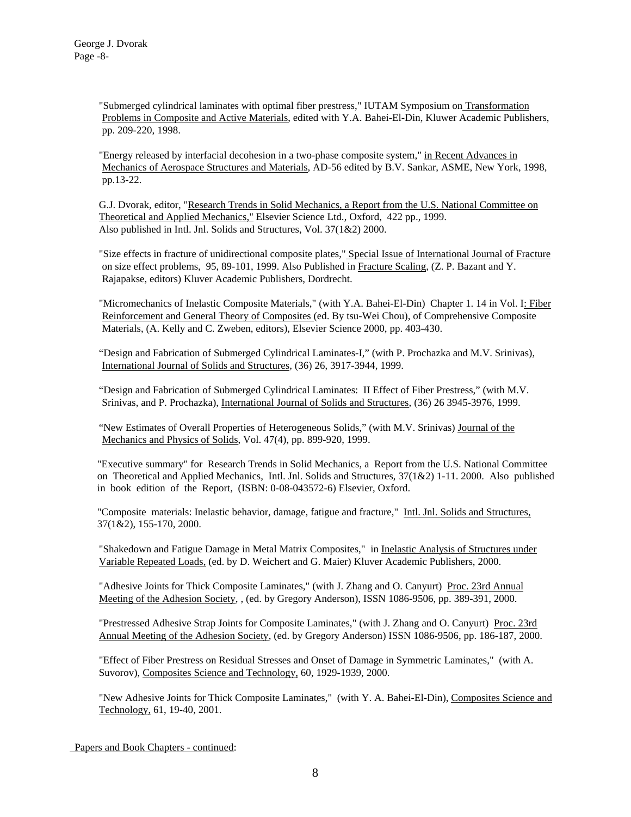"Submerged cylindrical laminates with optimal fiber prestress," IUTAM Symposium on Transformation Problems in Composite and Active Materials, edited with Y.A. Bahei-El-Din, Kluwer Academic Publishers, pp. 209-220, 1998.

"Energy released by interfacial decohesion in a two-phase composite system," in Recent Advances in Mechanics of Aerospace Structures and Materials, AD-56 edited by B.V. Sankar, ASME, New York, 1998, pp.13-22.

G.J. Dvorak, editor, "Research Trends in Solid Mechanics, a Report from the U.S. National Committee on Theoretical and Applied Mechanics," Elsevier Science Ltd., Oxford, 422 pp., 1999. Also published in Intl. Jnl. Solids and Structures, Vol. 37(1&2) 2000.

"Size effects in fracture of unidirectional composite plates," Special Issue of International Journal of Fracture on size effect problems, 95, 89-101, 1999. Also Published in Fracture Scaling, (Z. P. Bazant and Y. Rajapakse, editors) Kluver Academic Publishers, Dordrecht.

"Micromechanics of Inelastic Composite Materials," (with Y.A. Bahei-El-Din) Chapter 1. 14 in Vol. I: Fiber Reinforcement and General Theory of Composites (ed. By tsu-Wei Chou), of Comprehensive Composite Materials, (A. Kelly and C. Zweben, editors), Elsevier Science 2000, pp. 403-430.

"Design and Fabrication of Submerged Cylindrical Laminates-I," (with P. Prochazka and M.V. Srinivas), International Journal of Solids and Structures, (36) 26, 3917-3944, 1999.

"Design and Fabrication of Submerged Cylindrical Laminates: II Effect of Fiber Prestress," (with M.V. Srinivas, and P. Prochazka), International Journal of Solids and Structures, (36) 26 3945-3976, 1999.

"New Estimates of Overall Properties of Heterogeneous Solids," (with M.V. Srinivas) Journal of the Mechanics and Physics of Solids, Vol. 47(4), pp. 899-920, 1999.

"Executive summary" for Research Trends in Solid Mechanics, a Report from the U.S. National Committee on Theoretical and Applied Mechanics, Intl. Jnl. Solids and Structures, 37(1&2) 1-11. 2000. Also published in book edition of the Report, (ISBN: 0-08-043572-6) Elsevier, Oxford.

"Composite materials: Inelastic behavior, damage, fatigue and fracture," Intl. Jnl. Solids and Structures, 37(1&2), 155-170, 2000.

"Shakedown and Fatigue Damage in Metal Matrix Composites," in Inelastic Analysis of Structures under Variable Repeated Loads, (ed. by D. Weichert and G. Maier) Kluver Academic Publishers, 2000.

"Adhesive Joints for Thick Composite Laminates," (with J. Zhang and O. Canyurt) Proc. 23rd Annual Meeting of the Adhesion Society, , (ed. by Gregory Anderson), ISSN 1086-9506, pp. 389-391, 2000.

"Prestressed Adhesive Strap Joints for Composite Laminates," (with J. Zhang and O. Canyurt) Proc. 23rd Annual Meeting of the Adhesion Society, (ed. by Gregory Anderson) ISSN 1086-9506, pp. 186-187, 2000.

"Effect of Fiber Prestress on Residual Stresses and Onset of Damage in Symmetric Laminates," (with A. Suvorov), Composites Science and Technology, 60, 1929-1939, 2000.

"New Adhesive Joints for Thick Composite Laminates," (with Y. A. Bahei-El-Din), Composites Science and Technology, 61, 19-40, 2001.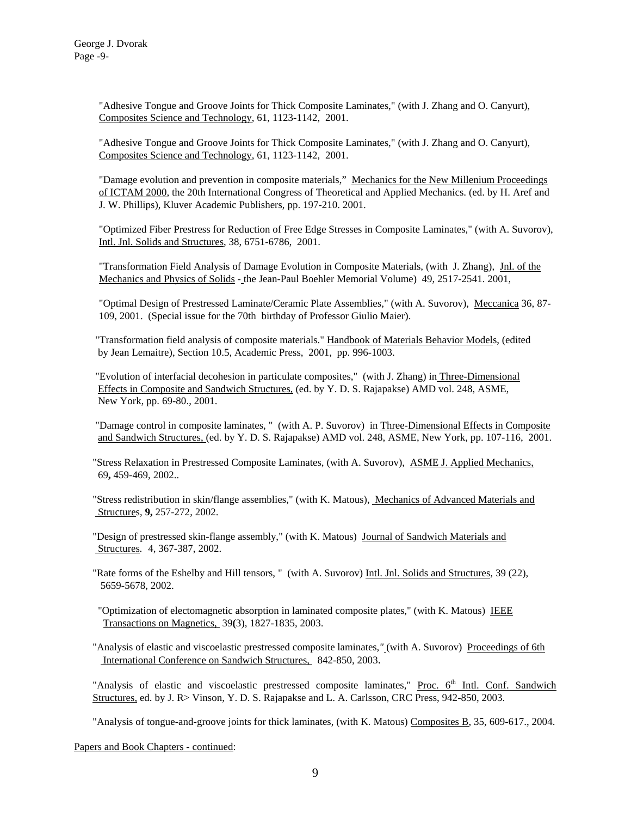"Adhesive Tongue and Groove Joints for Thick Composite Laminates," (with J. Zhang and O. Canyurt), Composites Science and Technology, 61, 1123-1142, 2001.

"Adhesive Tongue and Groove Joints for Thick Composite Laminates," (with J. Zhang and O. Canyurt), Composites Science and Technology, 61, 1123-1142, 2001.

"Damage evolution and prevention in composite materials," Mechanics for the New Millenium Proceedings of ICTAM 2000, the 20th International Congress of Theoretical and Applied Mechanics. (ed. by H. Aref and J. W. Phillips), Kluver Academic Publishers, pp. 197-210. 2001.

"Optimized Fiber Prestress for Reduction of Free Edge Stresses in Composite Laminates," (with A. Suvorov), Intl. Jnl. Solids and Structures, 38, 6751-6786, 2001.

"Transformation Field Analysis of Damage Evolution in Composite Materials, (with J. Zhang), Jnl. of the Mechanics and Physics of Solids - the Jean-Paul Boehler Memorial Volume) 49, 2517-2541. 2001,

"Optimal Design of Prestressed Laminate/Ceramic Plate Assemblies," (with A. Suvorov), Meccanica 36, 87- 109, 2001. (Special issue for the 70th birthday of Professor Giulio Maier).

 "Transformation field analysis of composite materials." Handbook of Materials Behavior Models, (edited by Jean Lemaitre), Section 10.5, Academic Press, 2001, pp. 996-1003.

 "Evolution of interfacial decohesion in particulate composites," (with J. Zhang) in Three-Dimensional Effects in Composite and Sandwich Structures, (ed. by Y. D. S. Rajapakse) AMD vol. 248, ASME, New York, pp. 69-80., 2001.

"Damage control in composite laminates, " (with A. P. Suvorov) in Three-Dimensional Effects in Composite and Sandwich Structures, (ed. by Y. D. S. Rajapakse) AMD vol. 248, ASME, New York, pp. 107-116, 2001.

"Stress Relaxation in Prestressed Composite Laminates, (with A. Suvorov), ASME J. Applied Mechanics, 69**,** 459-469, 2002..

"Stress redistribution in skin/flange assemblies," (with K. Matous), Mechanics of Advanced Materials and Structures, **9,** 257-272, 2002.

"Design of prestressed skin-flange assembly," (with K. Matous) Journal of Sandwich Materials and Structures*.* 4, 367-387, 2002.

"Rate forms of the Eshelby and Hill tensors, " (with A. Suvorov) Intl. Jnl. Solids and Structures, 39 (22), 5659-5678, 2002.

 "Optimization of electomagnetic absorption in laminated composite plates," (with K. Matous) IEEE Transactions on Magnetics, 39**(**3), 1827-1835, 2003.

"Analysis of elastic and viscoelastic prestressed composite laminates*,"* (with A. Suvorov) Proceedings of 6th International Conference on Sandwich Structures, 842-850, 2003.

"Analysis of elastic and viscoelastic prestressed composite laminates," Proc. 6<sup>th</sup> Intl. Conf. Sandwich Structures, ed. by J. R> Vinson, Y. D. S. Rajapakse and L. A. Carlsson, CRC Press, 942-850, 2003.

"Analysis of tongue-and-groove joints for thick laminates, (with K. Matous) Composites B, 35, 609-617., 2004.